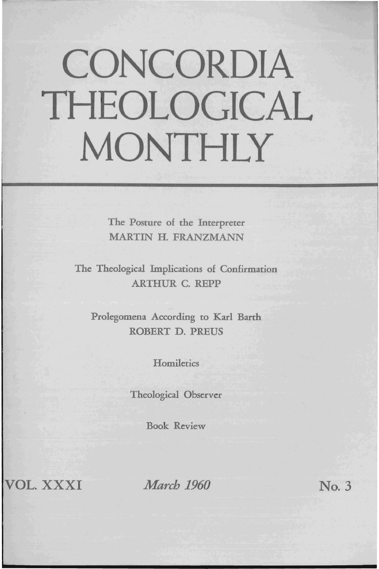## **CONCORDIA THEOLOGICAL MONTHLY**

The Posture of the Interpreter MARTIN H. FRANZMANN

The Theological Implications of Confirmation ARTHUR C. REPP

Prolegomena According to Karl Barth ROBERT D. PREUS

**Homiletics** 

Theological Observer

Book Review

VOL. XXXI

*March* 1960 **No. 3**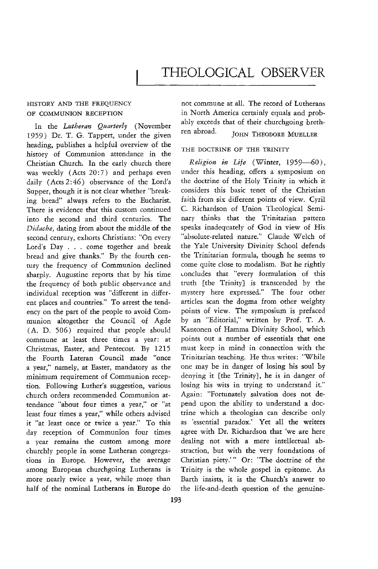## HISTORY AND THE FREQUENCY OF COMMUNION RECEPTION

In the *Lutheran Quarterly* (November 1959) Dr. T. G. Tappert, under the given heading, publishes a helpful overview of the history of Communion attendance in the Christian Church. In the early church there was weekly (Acts 20:7) and perhaps even daily (Acts 2:46) observance of the Lord's Supper, though it is not clear whether "breaking bread" always refers to the Eucharist. There is evidence that this custom continued into the second and third centuries. The *Didache,* dating from about the middle of the second century, exhorts Christians: "On every Lord's Day ... come together and break bread and give thanks." By the fourth century the frequency of Communion declined sharply. Augustine reports that by his time the frequency of both public observance and individual reception was "different in different places and countries." To arrest the tendency on the part of the people to avoid Communion altogether the Council of Agde (A. D. 506) required that people should commune at least three times a year: at Christmas, Easter, and Pentecost. By 1215 the Fourth Lateran Council made "once a year," namely, at Easter, mandatory as the minimum requirement of Communion reception. Following Luther's suggestion, various church orders recommended Communion attendance "about four times a year," or "at least four times a year," while others advised it "at least once or twice a year." *To* this day reception of Communion four times a year remains the custom among more churchly people in some Lutheran congregations in Europe. However, the average among European churchgoing Lutherans is more nearly twice a year, while more than half of the nominal Lutherans in Europe do

not commune at alL The record of Lutherans in North America certainly equals and probably exceeds that of their churchgoing brethren abroad. JOHN THEODORE MUELLER

## THE DOCTRINE OF THE TRINITY

*Religion in Life* (Winter, 1959-60), under this heading, offers a symposium on the doctrine of the Holy Trinity in which it considers this basic tenet of the Christian faith from six different points of view. Cyril C Richardson of Union Theological Seminary thinks that the Trinitarian pattern speaks inadequately of God in view of His "absolute-related nature." Claude Welch of the Yale University Divinity School defends the Trinitarian formula, though he seems to come quite close to modalism. But he rightly concludes that "every formulation of this truth [the Trinity] is transcended by the mystery here expressed." The four other articles scan the dogma from other weighty points of view. The symposium is prefaced by an "Editorial," written by Prof. T. A. Kantonen of Hamma Divinity School, which points out a number of essentials that one must keep in mind in connection with the Trinitarian teaching. He thus writes: "While one may be in danger of losing his soul by denying it [the Trinity}, he is in danger of losing his wits in trying to understand it." Again: "Fortunately salvation does not depend upon the ability to understand a doctrine which a theologian can describe only as 'essential paradox.' Yet all the writers agree with Dr. Richardson that 'we are here dealing not with a mere intellectual abstraction, but with the very foundations of Christian piety.''' Or: "The doctrine of the Trinity is the whole gospel in epitome. As Barth insists, it is the Church's answer to the life-and-death question of the genuine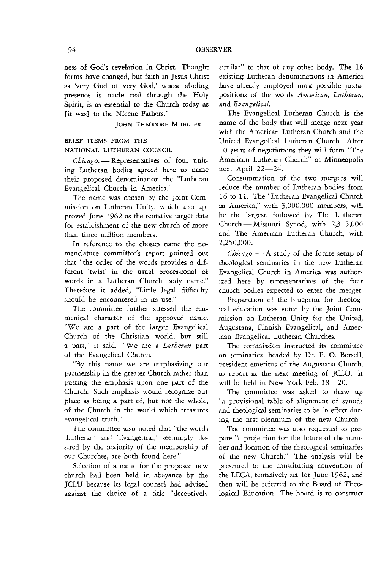ness of God's revelation in Christ. Thought forms have changed, but faith in Jesus Christ as 'very God of very God; whose abiding presence is made real through the Holy Spirit, is as essential to the Church today as [it was] to the Nicene Fathers."

JOHN THEODORE MUELLER

## BRIEF ITEMS FROM THE NATIONAL LUTHERAN COUNCIL

Chicago. - Representatives of four uniting Lutheran bodies agreed here to name their proposed denomination the "Lutheran Evangelical Church in America."

The name was chosen by the Joint Commission on Lutheran Unity, which also approved June 1962 as the tentative target date for establishment of the new church of more than three million members.

In reference to the chosen name the nomenclature committee's report pointed out that "the order of the words provides a different 'twist' in the usual processional of words in a Lutheran Church body name." Therefore it added, "Little legal difficulty should be encountered in its use."

The committee further stressed the ecumenical character of the approved name. "We are a part of the larger Evangelical Church of the Christian world, but still a part," it said. "We are a *Lutheran* part of the Evangelical Church.

"By this name we are emphasizing our partnership in the greater Church rather than putting the emphasis upon one part of the Church. Such emphasis would recognize our place as being a part of, but not the whole, of the Church in the world which treasures evangelical truth."

The committee also noted that "the words 'Lutheran' and 'Evangelical; seemingly desired by the majority of the membership of our Churches, are both found here."

Selection of a name for the proposed new church had been held in abeyance by the JCLU because its legal counsel had advised against the choice of a title "deceptively similar" to that of any other body. The 16 existing Lutheran denominations in America have already employed most possible juxtapositions of the words *American, Lutheran,*  and *Evangelical.* 

The Evangelical Lutheran Church is the name of the body that will merge next year with the American Lutheran Church and the United Evangelical Lutheran Church. After 10 years of negotiations they will form "The American Lutheran Church" at Minneapolis next April  $22-24$ .

Consummation of the two mergers will reduce the number of Lutheran bodies from 16 to 11. The "Lutheran Evangelical Church in America," with 3,000,000 members, will be the largest, followed by The Lutheran Church - Missouri Synod, with 2,315,000 and The American Lutheran Church, with 2,250,000.

*Chicago.* - A study of the future setup of theological seminaries in the new Lutheran Evangelical Church in America was authorized here by representatives of the four church bodies expected to enter the merger.

Preparation of the blueprint for theological education was voted by the Joint Commission on Lutheran Unity for the United, Augustana, Finnish Evangelical, and American Evangelical Lutheran Churches.

The commission instructed its committee on seminaries, headed by Dr. P. O. Bersell, president emeritus of the Augustana Church, to report at the next meeting of JCLU. It will be held in New York Feb. 18-20.

The committee was asked to draw up "a provisional table of alignment of synods and theological seminaries to be in effect during the first biennium of the new Church."

The committee was also requested to prepare "a projection for the future of the number and location of the theological seminaries of the new Church." The analysis will be presented to the constituting convention of the LECA, tentatively set for June 1962, and then will be referred to the Board of Theological Education. The board is to construct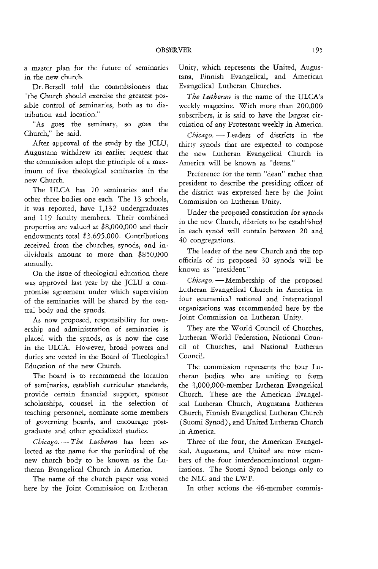a master plan for the future of seminaries in the new church.

Dr. Bersell told the commissioners that "the Church should exercise the greatest possible control of seminaries, both as to distribution and location."

"As goes the seminary, so goes the Church," he said.

After approval of the study by the JCLU, Augustana withdrew its earlier request that the commission adopt the principle of a maximum of five theological seminaries in the new Church.

The ULCA has 10 seminaries and the other three bodies one each. The 13 schools, it was reported, have 1,132 undergraduates and 119 faculty members. Their combined properties are valued at \$8,000,000 and their endowments total \$3,695,000. Contributions received from the churches, synods, and individuals amount to more than \$850,000 annually.

On the issue of theological education there was approved last year by the JCLU a compromise agreement under which supervision of the seminaries will be shared by the central body and the synods.

As now proposed, responsibility for ownership and administration of seminaries is placed with the synods, as is now the case in the ULCA. However, broad powers and duties are vested in the Board of Theological Education of the new Church.

The board *is* to recommend the location of seminaries, establish curricular standards, provide certain financial support, sponsor scholarships, counsel in the selection of teaching personnel, nominate some members of governing boards, and encourage postgraduate and other specialized studies.

*Chicago.* - *The Lutheran* has been selected as the name for the periodical of the new church body to be known as the Lutheran Evangelical Church in America.

The name of the church paper was voted here by the Joint Commission on Lutheran

Unity, which represents the United, Augustana, Finnish Evangelical, and American Evangelical Lutheran Churches.

*The Lutheran* is the name of the ULCA's weekly magazine. With more than 200,000 subscribers, it is said to have the largest circulation of any Protestant weekly in America.

Chicago. - Leaders of districts in the thirty synods that are expected to compose the new Lutheran Evangelical Church in America will be known as "deans."

Preference for the term "dean" rather than president to describe the presiding officer of the district was expressed here by the Joint Commission on Lutheran Unity.

Under the proposed constitution for synods in the new Church, districts to be established in each synod will contain between 20 and 40 congregations.

The leader of the new Church and the top officials of its proposed 30 synods will be known as "president."

Chicago. - Membership of the proposed Lutheran Evangelical Church in America in four ecumenical national and international organizations was recommended here by the Joint Commission on Lutheran Unity.

They are the World Council of Churches, Lutheran World Federation, National Council of Churches, and National Lutheran Council.

The commission represents the four Lutheran bodies who are uniting to form the 3,OOO,000-member Lutheran Evangelical Church. These are the American Evangelical Lutheran Church, Augustana Lutheran Church, Finnish Evangelical Lutheran Church (Suomi Synod), and United Lutheran Church in America.

Three of the four, the American Evangelical, Augustana, and United are now members of the. four interdenominational organizations. The Suomi Synod belongs only to the NLC and the LWF.

In other actions the 46-member commis-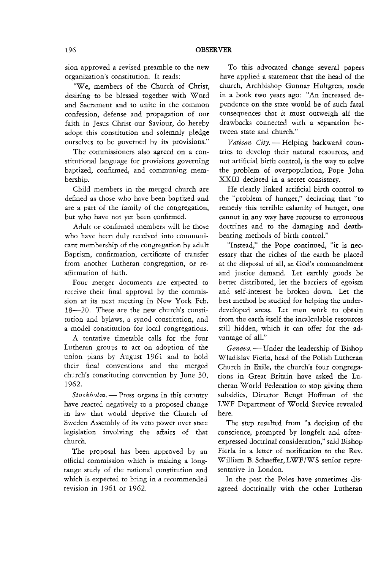sion approved a revised preamble to the new organization's constitution. It reads:

"We, members of the Church of Christ, desiring to be blessed together with Word and Sacrament and to unite in the common confession, defense and propagation of our faith in Jesus Christ our Saviour, do hereby adopt this constitution and solemnly pledge ourselves to be governed by its provisions."

The commissioners also agreed on a constitutional language for provisions governing baptized, confirmed, and communing membership.

Child members in the merged church are defined as those who have been baptized and are a part of the family of the congregation, but who have not yet been confirmed.

Adult or confirmed members will be those who have been duly received into communicant membership of the congregation by adult Baptism, confirmation, certificate of transfer from another Lutheran congregation, or reaffirmation of faith.

Four merger documents are expected to receive their final approval by the commission at its next meeting in New York Feb. IS-20. These are the new church's constitution and bylaws, a synod constitution, and a model constitution for local congregations.

A tentative timetable calls for the four Lutheran groups to act on adoption of the union plans by August 1961 and to hold their final conventions and the merged church's constituting convention by June 30, 1962.

*Stockholm*. - Press organs in this country have reacted negatively to a proposed change in law that would deprive the Church of Sweden Assembly of its veto power over state legislation involving the affairs of that church.

The proposal has been approved by an official commission which is making a longrange study of the national constitution and which is expected to bring in a recommended revision in 1961 or 1962.

To this advocated change several papers have applied a statement that the head of the church, Archbishop Gunnar Hultgren, made in a book two years ago: "An increased dependence on the state would be of such fatal consequences that it must outweigh all the drawbacks connected with a separation between state and church."

Vatican City. - Helping backward countries to develop their natural resources, and not artificial birth control, is the way to solve the problem of overpopulation, Pope John XXIII declared in a secret consistory.

He clearly linked artificial birth control to the "problem of hunger," declaring that "to remedy this terrible calamity of hunger, one cannot in any way have recourse to erroneous doctrines and to the damaging and deathbearing methods of birth controL"

"Instead," the Pope continued, "it is necessary that the riches of the earth be placed at the disposal of all, as God's commandment and justice demand. Let earthly goods be better distributed, let the barriers of egoism and self-interest be broken down. Let the best method be studied for helping the underdeveloped areas. Let men work to obtain from the earth itself the incalculable resources still hidden, which it can offer for the advantage of alL"

*Geneva*. — Under the leadership of Bishop Wladislav Fierla, head of the Polish Lutheran Church in Exile, the church's four congregations in Great Britain have asked the Lutheran World Federation to stop giving them subsidies, Director Bengt Hoffman of the LWF Department of World Service revealed here.

The step resulted from "a decision of the conscience, prompted by longfelt and oftenexpressed doctrinal consideration," said Bishop Fierla in a letter of notification to the Rev. William B. Schaeffer, LWF/WS senior representative in London.

In the past the Poles have sometimes disagreed doctrinally with the other Lutheran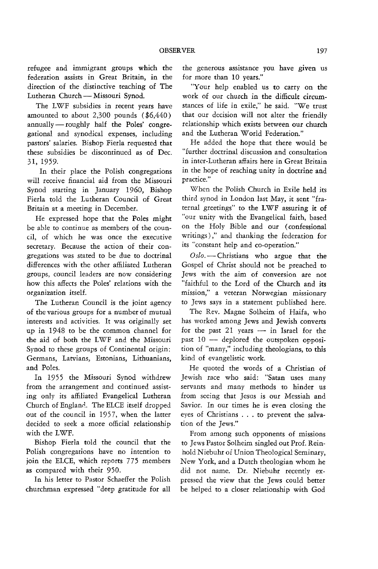refugee and immigrant groups which the federation assists in Great Britain, in the direction of the distinctive teaching of The Lutheran Church - Missouri Synod.

The LWF subsidies in recent years have amounted to about 2,300 pounds (\$6,440) annually-roughly half the Poles' congregational and synodical expenses, including pastors' salaries. Bishop Fierla requested that these subsidies be discontinued as of Dec. 31, 1959.

In their place the Polish congregations will receive financial aid from the Missouri Synod starting in January 1960, Bishop Fierla told the Lutheran Council of Great Britain at a meeting in December.

He expressed hope that the Poles might be able to continue as members of the council, of which he was once the executive secretary. Because the action of their congregations was stated to be due to doctrinal differences with the other affiliated Lutheran groups, council leaders are now considering how this affects the Poles' relations with the organization itself.

The Lutheran Council is the joint agency of the various groups for a number of mutual interests and activities. It was originally set up in 1948 to be the common channel for the aid of both the L WF and the Missouri Synod to these groups of Continental origin: Germans, Latvians, Estonians, Lithuanians, and Poles.

In 1955 the Missouri Synod withdrew from the arrangement and continued assisting only its affiliated Evangelical Lutheran Church of England. The ELCE itself dropped out of the council in 1957. when the latter decided to seek a more official relationship with the LWF.

Bishop Fierla told the council that the Polish congregations have no intention to join the ELCE, which reports 775 members as compared with their 950.

In his letter to Pastor Schaeffer the Polish churchman expressed "deep gratitude for all the generous assistance you have given us for more than 10 years."

"Your help enabled us to carry on the work of our church in the difficult circumstances of life in exile," he said. "We trust that our decision will not alter the friendly relationship which exists between our church and the Lutheran World Federation."

He added the hope that there would be "further doctrinal discussion and consultation in inter-Lutheran affairs here in Great Britain in the hope of reaching unity in doctrine and practice."

When the Polish Church in Exile held its third synod in London last May, it sent "fraternal greetings" to the LWF assuring it of "our unity with the Evangelical faith, based on the Holy Bible and our (confessional writings) ," and thanking the federation for its "constant help and co-operation."

Oslo. - Christians who argue that the Gospel of Christ should not be preached to Jews with the aim of conversion are not "faithful to the Lord of the Church and its mission," a veteran Norwegian missionary to Jews says in a statement published here.

The Rev. Magne Solheim of Haifa, who has worked among Jews and Jewish converts for the past  $21$  years  $-$  in Israel for the past  $10$  — deplored the outspoken opposition of "many," including theologians, to this kind of evangelistic work.

He quoted the words of a Christian of Jewish race who said: "Satan uses many servants and many methods to hinder us from seeing that Jesus is our Messiah and Savior. In our times he is even closing the eyes of Christians . . . to prevent the salvation of the Jews."

From among such opponents of missions to Jews Pastor Solheim singled out Prof. Reinhold Niebuhr or Union Theological Seminary, New York. and a Dutch theologian whom he did not name. Dr. Niebuhr recently expressed the view that the Jews could better be helped to a closer relationship with God